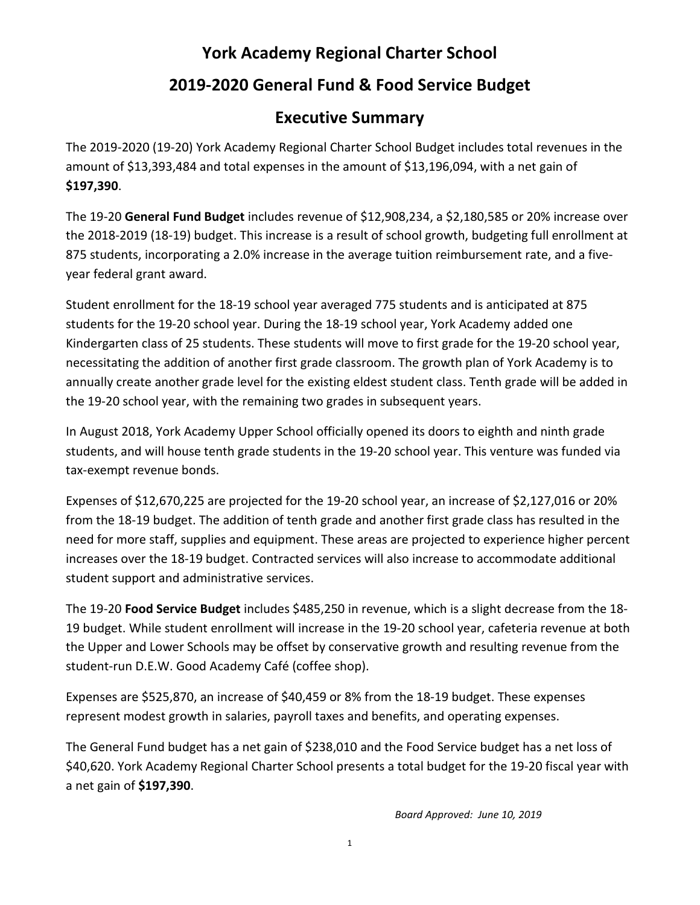## **York Academy Regional Charter School**

## **2019-2020 General Fund & Food Service Budget**

## **Executive Summary**

The 2019-2020 (19-20) York Academy Regional Charter School Budget includes total revenues in the amount of \$13,393,484 and total expenses in the amount of \$13,196,094, with a net gain of **\$197,390**.

The 19-20 **General Fund Budget** includes revenue of \$12,908,234, a \$2,180,585 or 20% increase over the 2018-2019 (18-19) budget. This increase is a result of school growth, budgeting full enrollment at 875 students, incorporating a 2.0% increase in the average tuition reimbursement rate, and a fiveyear federal grant award.

Student enrollment for the 18-19 school year averaged 775 students and is anticipated at 875 students for the 19-20 school year. During the 18-19 school year, York Academy added one Kindergarten class of 25 students. These students will move to first grade for the 19-20 school year, necessitating the addition of another first grade classroom. The growth plan of York Academy is to annually create another grade level for the existing eldest student class. Tenth grade will be added in the 19-20 school year, with the remaining two grades in subsequent years.

In August 2018, York Academy Upper School officially opened its doors to eighth and ninth grade students, and will house tenth grade students in the 19-20 school year. This venture was funded via tax-exempt revenue bonds.

Expenses of \$12,670,225 are projected for the 19-20 school year, an increase of \$2,127,016 or 20% from the 18-19 budget. The addition of tenth grade and another first grade class has resulted in the need for more staff, supplies and equipment. These areas are projected to experience higher percent increases over the 18-19 budget. Contracted services will also increase to accommodate additional student support and administrative services.

The 19-20 **Food Service Budget** includes \$485,250 in revenue, which is a slight decrease from the 18- 19 budget. While student enrollment will increase in the 19-20 school year, cafeteria revenue at both the Upper and Lower Schools may be offset by conservative growth and resulting revenue from the student-run D.E.W. Good Academy Café (coffee shop).

Expenses are \$525,870, an increase of \$40,459 or 8% from the 18-19 budget. These expenses represent modest growth in salaries, payroll taxes and benefits, and operating expenses.

The General Fund budget has a net gain of \$238,010 and the Food Service budget has a net loss of \$40,620. York Academy Regional Charter School presents a total budget for the 19-20 fiscal year with a net gain of **\$197,390**.

*Board Approved: June 10, 2019*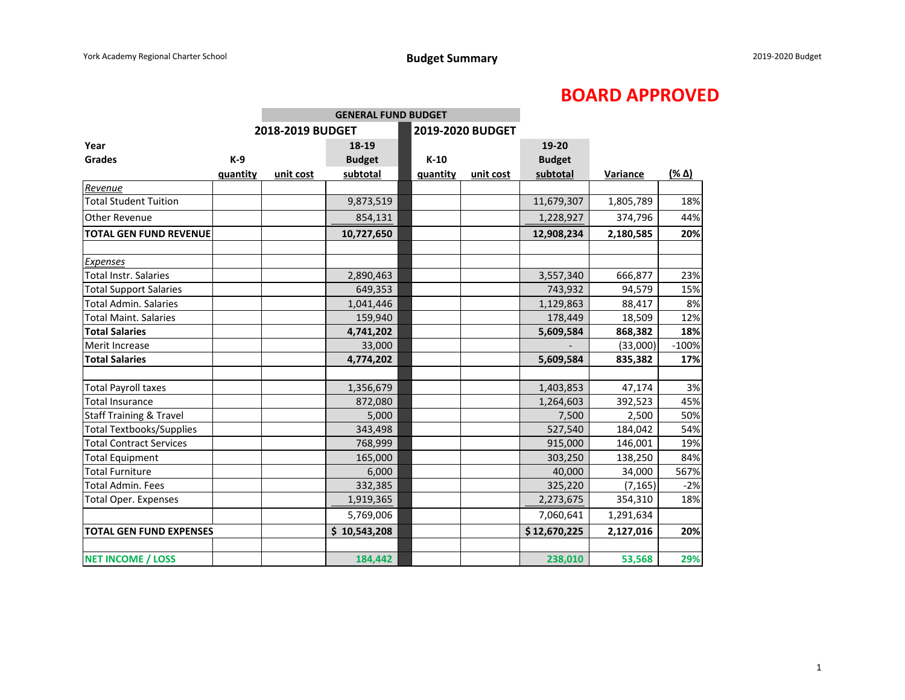## **BOARD APPROVED**

|                                                                                                                                                                                                    |          | <b>GENERAL FUND BUDGET</b> |                      |                  |           |                                              |                                        |                  |
|----------------------------------------------------------------------------------------------------------------------------------------------------------------------------------------------------|----------|----------------------------|----------------------|------------------|-----------|----------------------------------------------|----------------------------------------|------------------|
|                                                                                                                                                                                                    |          | 2018-2019 BUDGET           |                      | 2019-2020 BUDGET |           |                                              |                                        |                  |
| Year                                                                                                                                                                                               |          |                            | 18-19                |                  |           | 19-20                                        |                                        |                  |
| <b>Grades</b>                                                                                                                                                                                      | $K-9$    |                            | <b>Budget</b>        | $K-10$           |           | <b>Budget</b>                                |                                        |                  |
|                                                                                                                                                                                                    | quantity | unit cost                  | subtotal             | quantity         | unit cost | subtotal                                     | Variance                               | $(\frac{96}{4})$ |
| Revenue                                                                                                                                                                                            |          |                            |                      |                  |           |                                              |                                        |                  |
| <b>Total Student Tuition</b>                                                                                                                                                                       |          |                            | 9,873,519            |                  |           | 11,679,307                                   | 1,805,789                              | 18%              |
| Other Revenue                                                                                                                                                                                      |          |                            | 854,131              |                  |           | 1,228,927                                    | 374,796                                | 44%              |
| <b>TOTAL GEN FUND REVENUE</b>                                                                                                                                                                      |          |                            | 10,727,650           |                  |           | 12,908,234                                   | 2,180,585                              | 20%              |
| Expenses                                                                                                                                                                                           |          |                            |                      |                  |           |                                              |                                        |                  |
| <b>Total Instr. Salaries</b>                                                                                                                                                                       |          |                            | 2,890,463            |                  |           | 3,557,340                                    | 666,877                                | 23%              |
|                                                                                                                                                                                                    |          |                            | 649,353              |                  |           | 743,932                                      | 94,579                                 | 15%              |
| <b>Total Admin. Salaries</b>                                                                                                                                                                       |          |                            | 1,041,446            |                  |           |                                              | 88,417                                 | 8%               |
| <b>Total Maint. Salaries</b>                                                                                                                                                                       |          |                            | 159,940              |                  |           | 178,449                                      | 18,509                                 | 12%              |
| <b>Total Salaries</b>                                                                                                                                                                              |          |                            | 4,741,202            |                  |           | 5,609,584                                    | 868,382                                | 18%              |
| Merit Increase                                                                                                                                                                                     |          |                            | 33,000               |                  |           |                                              | (33,000)                               | $-100%$          |
| <b>Total Salaries</b>                                                                                                                                                                              |          |                            | 4,774,202            |                  |           | 5,609,584                                    | 835,382                                | 17%              |
|                                                                                                                                                                                                    |          |                            |                      |                  |           |                                              |                                        |                  |
|                                                                                                                                                                                                    |          |                            |                      |                  |           |                                              |                                        | 3%               |
| <b>Total Insurance</b>                                                                                                                                                                             |          |                            | 872,080              |                  |           | 1,264,603                                    | 392,523                                | 45%              |
|                                                                                                                                                                                                    |          |                            | 5,000                |                  |           | 7,500                                        | 2,500                                  | 50%              |
|                                                                                                                                                                                                    |          |                            | 343,498              |                  |           | 527,540                                      |                                        | 54%              |
|                                                                                                                                                                                                    |          |                            | 768,999              |                  |           |                                              |                                        | 19%              |
| <b>Total Equipment</b>                                                                                                                                                                             |          |                            | 165,000              |                  |           | 303,250                                      | 138,250                                | 84%              |
| <b>Total Furniture</b>                                                                                                                                                                             |          |                            | 6,000                |                  |           | 40,000                                       | 34,000                                 | 567%             |
| <b>Total Admin. Fees</b>                                                                                                                                                                           |          |                            | 332,385              |                  |           | 325,220                                      | (7, 165)                               | $-2%$            |
| <b>Total Oper. Expenses</b>                                                                                                                                                                        |          |                            | 1,919,365            |                  |           | 2,273,675                                    | 354,310                                | 18%              |
|                                                                                                                                                                                                    |          |                            | 5,769,006            |                  |           | 7,060,641                                    | 1,291,634                              |                  |
| <b>TOTAL GEN FUND EXPENSES</b>                                                                                                                                                                     |          |                            | \$10,543,208         |                  |           | \$12,670,225                                 | 2,127,016                              | 20%              |
|                                                                                                                                                                                                    |          |                            |                      |                  |           |                                              |                                        | 29%              |
| <b>Total Support Salaries</b><br><b>Total Payroll taxes</b><br><b>Staff Training &amp; Travel</b><br><b>Total Textbooks/Supplies</b><br><b>Total Contract Services</b><br><b>NET INCOME / LOSS</b> |          |                            | 1,356,679<br>184,442 |                  |           | 1,129,863<br>1,403,853<br>915,000<br>238,010 | 47,174<br>184,042<br>146,001<br>53,568 |                  |